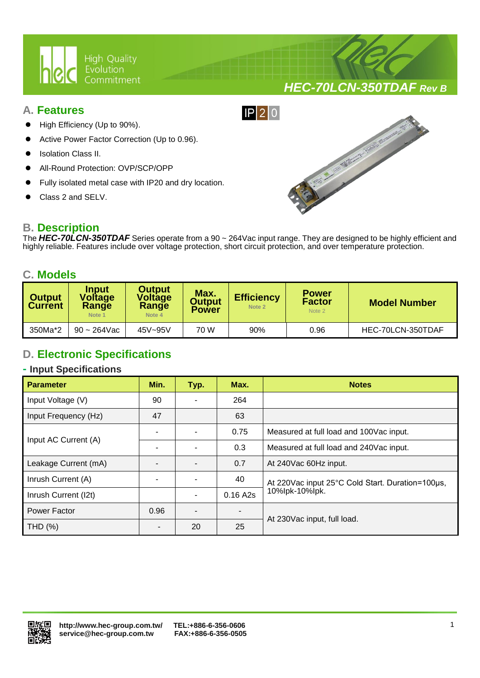

# *HEC-70LCN-350TDAF Rev B*

### **A. Features**

- High Efficiency (Up to 90%).
- Active Power Factor Correction (Up to 0.96).
- Isolation Class II.
- All-Round Protection: OVP/SCP/OPP
- Fully isolated metal case with IP20 and dry location.

Ι

Class 2 and SELV.

## **B. Description**

The *HEC-70LCN-350TDAF* Series operate from a 90 ~ 264Vac input range. They are designed to be highly efficient and highly reliable. Features include over voltage protection, short circuit protection, and over temperature protection.

 $IP$ |2|0

### **C. Models**

| <b>Output</b><br><b>Current</b> | <b>Input</b><br><b>Voltage</b><br><b>Range</b><br>Note 1 | <b>Output</b><br><b>Voltage</b><br>Range<br>Note 4 | Max.<br><b>Output</b><br><b>Power</b> | <b>Efficiency</b><br>Note 2 | <b>Power</b><br><b>Factor</b><br>Note 2 | <b>Model Number</b> |  |
|---------------------------------|----------------------------------------------------------|----------------------------------------------------|---------------------------------------|-----------------------------|-----------------------------------------|---------------------|--|
| 350Ma*2                         | $90 - 264$ Vac                                           | 45V~95V                                            | 70 W                                  | 90%                         | 0.96                                    | HEC-70LCN-350TDAF   |  |

# **D. Electronic Specifications**

### **- Input Specifications**

| <b>Parameter</b>     | Min.                     | Typ. | Max.                     | <b>Notes</b>                                     |  |
|----------------------|--------------------------|------|--------------------------|--------------------------------------------------|--|
| Input Voltage (V)    | 90                       |      | 264                      |                                                  |  |
| Input Frequency (Hz) | 47                       |      | 63                       |                                                  |  |
| Input AC Current (A) | ۰                        |      | 0.75                     | Measured at full load and 100Vac input.          |  |
|                      |                          |      | 0.3                      | Measured at full load and 240Vac input.          |  |
| Leakage Current (mA) |                          |      | 0.7                      | At 240Vac 60Hz input.                            |  |
| Inrush Current (A)   |                          |      | 40                       | At 220Vac input 25°C Cold Start. Duration=100µs, |  |
| Inrush Current (I2t) |                          | -    | 0.16A2s                  | 10%lpk-10%lpk.                                   |  |
| Power Factor         | 0.96                     |      | $\overline{\phantom{0}}$ |                                                  |  |
| THD (%)              | $\overline{\phantom{0}}$ | 20   | 25                       | At 230Vac input, full load.                      |  |

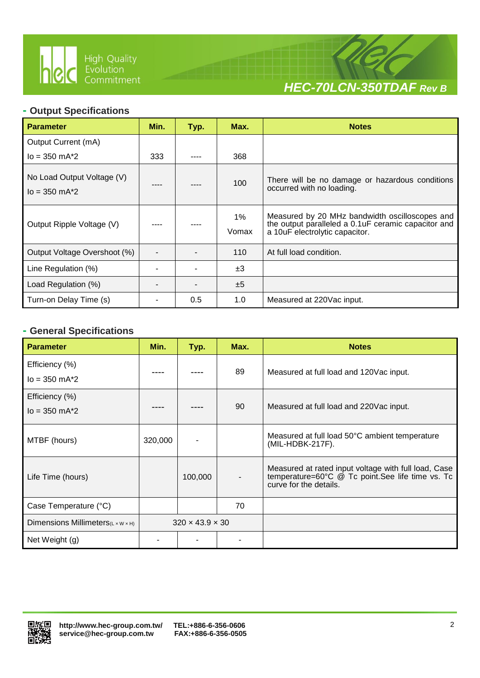

Ι



### **- Output Specifications**

| <b>Parameter</b>                                  | Min. | Typ. | Max.           | <b>Notes</b>                                                                                                                             |
|---------------------------------------------------|------|------|----------------|------------------------------------------------------------------------------------------------------------------------------------------|
| Output Current (mA)                               |      |      |                |                                                                                                                                          |
| $I_0 = 350$ mA $*2$                               | 333  |      | 368            |                                                                                                                                          |
| No Load Output Voltage (V)<br>$I_0 = 350$ mA $*2$ |      |      | 100            | There will be no damage or hazardous conditions<br>occurred with no loading.                                                             |
| Output Ripple Voltage (V)                         |      |      | $1\%$<br>Vomax | Measured by 20 MHz bandwidth oscilloscopes and<br>the output paralleled a 0.1 uF ceramic capacitor and<br>a 10uF electrolytic capacitor. |
| Output Voltage Overshoot (%)                      |      |      | 110            | At full load condition.                                                                                                                  |
| Line Regulation (%)                               |      |      | ±3             |                                                                                                                                          |
| Load Regulation (%)                               |      |      | ±5             |                                                                                                                                          |
| Turn-on Delay Time (s)                            |      | 0.5  | 1.0            | Measured at 220Vac input.                                                                                                                |

### **- General Specifications**

| <b>Parameter</b>                               | Min.    | Typ.                        | Max. | <b>Notes</b>                                                                                                                       |  |
|------------------------------------------------|---------|-----------------------------|------|------------------------------------------------------------------------------------------------------------------------------------|--|
| Efficiency (%)<br>$I_0 = 350$ m $A^*2$         |         |                             | 89   | Measured at full load and 120Vac input.                                                                                            |  |
| Efficiency (%)<br>$I_0 = 350$ m $A^*2$         |         |                             | 90   | Measured at full load and 220Vac input.                                                                                            |  |
| MTBF (hours)                                   | 320,000 |                             |      | Measured at full load 50°C ambient temperature<br>(MIL-HDBK-217F).                                                                 |  |
| Life Time (hours)                              |         | 100,000                     |      | Measured at rated input voltage with full load, Case<br>temperature=60°C @ Tc point.See life time vs. Tc<br>curve for the details. |  |
| Case Temperature (°C)                          |         |                             | 70   |                                                                                                                                    |  |
| Dimensions Millimeters $(L \times W \times H)$ |         | $320 \times 43.9 \times 30$ |      |                                                                                                                                    |  |
| Net Weight (g)                                 |         |                             |      |                                                                                                                                    |  |

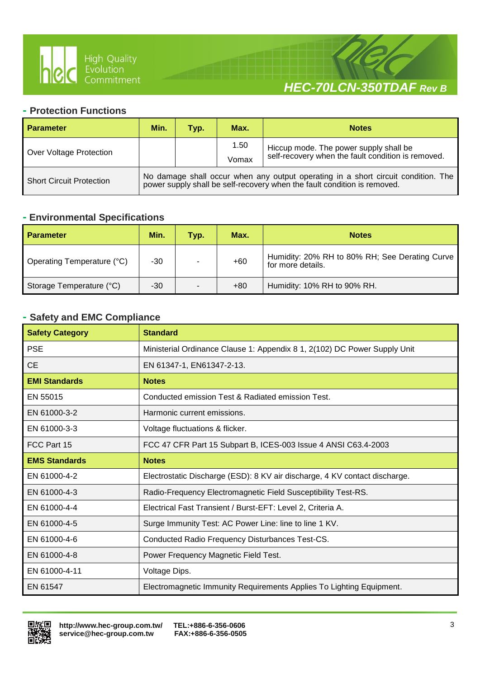

Ι



### **- Protection Functions**

| <b>Parameter</b>                | Min.                                                                                                                                                          | Typ. | Max.  | <b>Notes</b>                                       |  |
|---------------------------------|---------------------------------------------------------------------------------------------------------------------------------------------------------------|------|-------|----------------------------------------------------|--|
|                                 |                                                                                                                                                               |      | 1.50  | Hiccup mode. The power supply shall be             |  |
| Over Voltage Protection         |                                                                                                                                                               |      | Vomax | self-recovery when the fault condition is removed. |  |
| <b>Short Circuit Protection</b> | No damage shall occur when any output operating in a short circuit condition. The<br>power supply shall be self-recovery when the fault condition is removed. |      |       |                                                    |  |

### **- Environmental Specifications**

| <b>Parameter</b>           | Min.  | Typ. | Max.  | <b>Notes</b>                                                        |  |
|----------------------------|-------|------|-------|---------------------------------------------------------------------|--|
| Operating Temperature (°C) | -30   |      | $+60$ | Humidity: 20% RH to 80% RH; See Derating Curve<br>for more details. |  |
| Storage Temperature (°C)   | $-30$ |      | $+80$ | Humidity: 10% RH to 90% RH.                                         |  |

## **- Safety and EMC Compliance**

| <b>Safety Category</b> | <b>Standard</b>                                                            |
|------------------------|----------------------------------------------------------------------------|
| <b>PSE</b>             | Ministerial Ordinance Clause 1: Appendix 8 1, 2(102) DC Power Supply Unit  |
| <b>CE</b>              | EN 61347-1, EN61347-2-13.                                                  |
| <b>EMI Standards</b>   | <b>Notes</b>                                                               |
| EN 55015               | Conducted emission Test & Radiated emission Test.                          |
| EN 61000-3-2           | Harmonic current emissions.                                                |
| EN 61000-3-3           | Voltage fluctuations & flicker.                                            |
| FCC Part 15            | FCC 47 CFR Part 15 Subpart B, ICES-003 Issue 4 ANSI C63.4-2003             |
| <b>EMS Standards</b>   | <b>Notes</b>                                                               |
| EN 61000-4-2           | Electrostatic Discharge (ESD): 8 KV air discharge, 4 KV contact discharge. |
| EN 61000-4-3           | Radio-Frequency Electromagnetic Field Susceptibility Test-RS.              |
| EN 61000-4-4           | Electrical Fast Transient / Burst-EFT: Level 2, Criteria A.                |
| EN 61000-4-5           | Surge Immunity Test: AC Power Line: line to line 1 KV.                     |
| EN 61000-4-6           | Conducted Radio Frequency Disturbances Test-CS.                            |
| EN 61000-4-8           | Power Frequency Magnetic Field Test.                                       |
| EN 61000-4-11          | Voltage Dips.                                                              |
| EN 61547               | Electromagnetic Immunity Requirements Applies To Lighting Equipment.       |

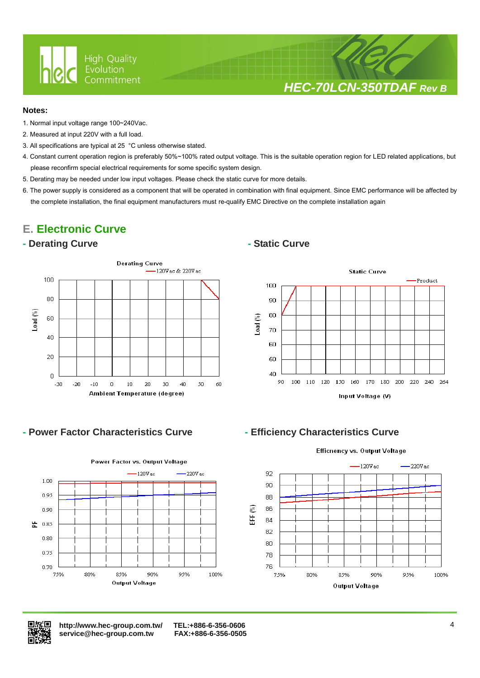

# *HEC-70LCN-350TDAF Rev B*

### **Notes:**

- 1. Normal input voltage range 100~240Vac.
- 2. Measured at input 220V with a full load.
- 3. All specifications are typical at 25 °C unless otherwise stated.

Ι

- 4. Constant current operation region is preferably 50%~100% rated output voltage. This is the suitable operation region for LED related applications, but please reconfirm special electrical requirements for some specific system design.
- 5. Derating may be needed under low input voltages. Please check the static curve for more details.
- 6. The power supply is considered as a component that will be operated in combination with final equipment. Since EMC performance will be affected by the complete installation, the final equipment manufacturers must re-qualify EMC Directive on the complete installation again

# **E. Electronic Curve**

### **- Derating Curve - Static Curve**





## **- Power Factor Characteristics Curve - Efficiency Characteristics Curve**





 **<http://www.hec-group.com.tw/>[TEL:+886-6-356-0606](tel:+886-6-356-0606)**   $s$ ervice@hec-group.com.tw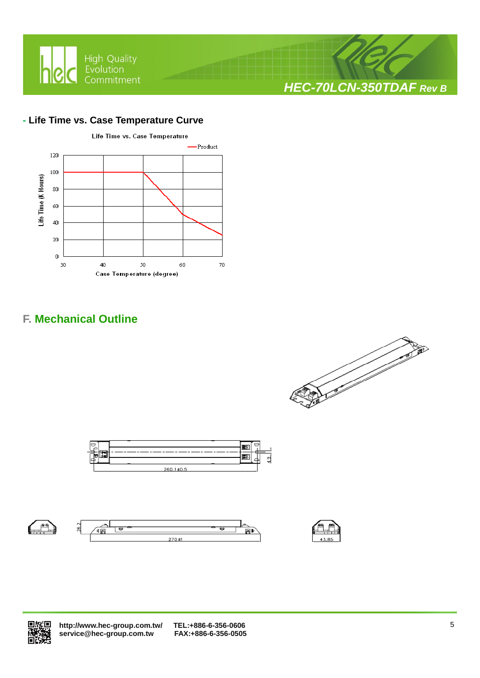

### **- Life Time vs. Case Temperature Curve**



# **F. Mechanical Outline**













 **<http://www.hec-group.com.tw/>[TEL:+886-6-356-0606](tel:+886-6-356-0606)**   $\overline{\text{service@hec}}$ -group.com.tw